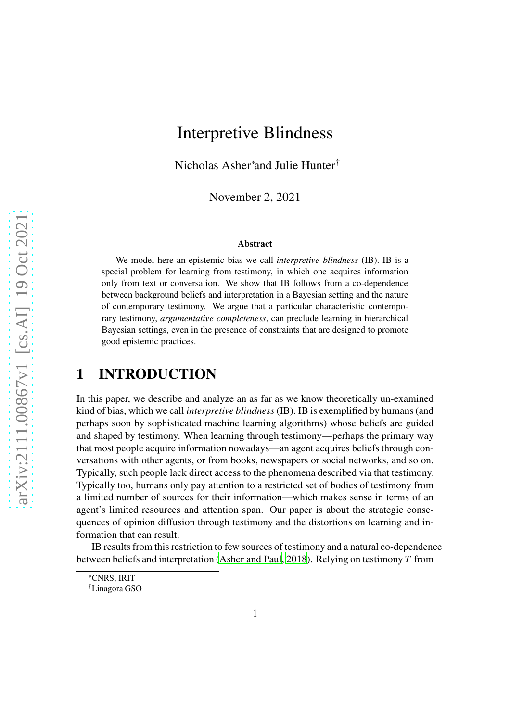# Interpretive Blindness

Nicholas Asher\*and Julie Hunter†

November 2, 2021

#### Abstract

We model here an epistemic bias we call *interpretive blindness* (IB). IB is a special problem for learning from testimony, in which one acquires information only from text or conversation. We show that IB follows from a co-dependence between background beliefs and interpretation in a Bayesian setting and the nature of contemporary testimony. We argue that a particular characteristic contemporary testimony, *argumentative completeness*, can preclude learning in hierarchical Bayesian settings, even in the presence of constraints that are designed to promote good epistemic practices.

## 1 INTRODUCTION

In this paper, we describe and analyze an as far as we know theoretically un-examined kind of bias, which we call *interpretive blindness*(IB). IB is exemplified by humans (and perhaps soon by sophisticated machine learning algorithms) whose beliefs are guided and shaped by testimony. When learning through testimony—perhaps the primary way that most people acquire information nowadays—an agent acquires beliefs through conversations with other agents, or from books, newspapers or social networks, and so on. Typically, such people lack direct access to the phenomena described via that testimony. Typically too, humans only pay attention to a restricted set of bodies of testimony from a limited number of sources for their information—which makes sense in terms of an agent's limited resources and attention span. Our paper is about the strategic consequences of opinion diffusion through testimony and the distortions on learning and information that can result.

IB results from this restriction to few sources of testimony and a natural co-dependence between beliefs and interpretation [\(Asher and Paul, 2018](#page-16-0)). Relying on testimony *T* from

<sup>\*</sup>CNRS, IRIT

<sup>†</sup>Linagora GSO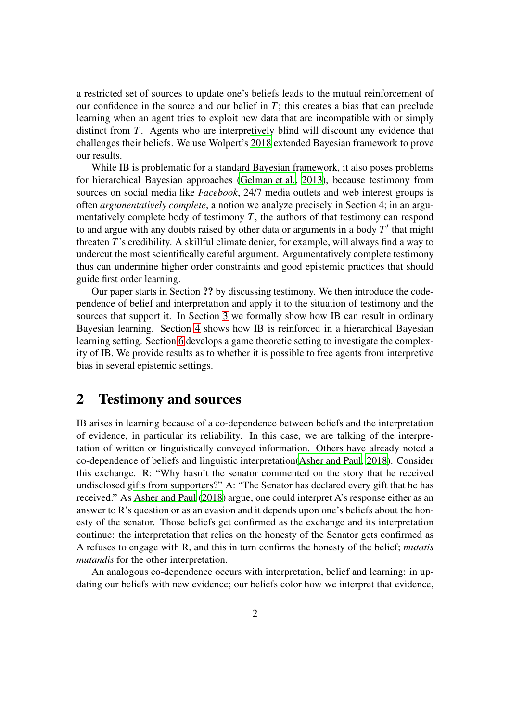a restricted set of sources to update one's beliefs leads to the mutual reinforcement of our confidence in the source and our belief in  $T$ ; this creates a bias that can preclude learning when an agent tries to exploit new data that are incompatible with or simply distinct from *T*. Agents who are interpretively blind will discount any evidence that challenges their beliefs. We use Wolpert's [2018](#page-18-0) extended Bayesian framework to prove our results.

While IB is problematic for a standard Bayesian framework, it also poses problems for hierarchical Bayesian approaches [\(Gelman et al., 2013](#page-17-0)), because testimony from sources on social media like *Facebook*, 24/7 media outlets and web interest groups is often *argumentatively complete*, a notion we analyze precisely in Section 4; in an argumentatively complete body of testimony  $T$ , the authors of that testimony can respond to and argue with any doubts raised by other data or arguments in a body *T* ′ that might threaten *T*'s credibility. A skillful climate denier, for example, will always find a way to undercut the most scientifically careful argument. Argumentatively complete testimony thus can undermine higher order constraints and good epistemic practices that should guide first order learning.

Our paper starts in Section ?? by discussing testimony. We then introduce the codependence of belief and interpretation and apply it to the situation of testimony and the sources that support it. In Section [3](#page-3-0) we formally show how IB can result in ordinary Bayesian learning. Section [4](#page-7-0) shows how IB is reinforced in a hierarchical Bayesian learning setting. Section [6](#page-11-0) develops a game theoretic setting to investigate the complexity of IB. We provide results as to whether it is possible to free agents from interpretive bias in several epistemic settings.

#### 2 Testimony and sources

IB arises in learning because of a co-dependence between beliefs and the interpretation of evidence, in particular its reliability. In this case, we are talking of the interpretation of written or linguistically conveyed information. Others have already noted a co-dependence of beliefs and linguistic interpretation[\(Asher and Paul, 2018\)](#page-16-0). Consider this exchange. R: "Why hasn't the senator commented on the story that he received undisclosed gifts from supporters?" A: "The Senator has declared every gift that he has received." As [Asher and Paul](#page-16-0) [\(2018\)](#page-16-0) argue, one could interpret A's response either as an answer to R's question or as an evasion and it depends upon one's beliefs about the honesty of the senator. Those beliefs get confirmed as the exchange and its interpretation continue: the interpretation that relies on the honesty of the Senator gets confirmed as A refuses to engage with R, and this in turn confirms the honesty of the belief; *mutatis mutandis* for the other interpretation.

An analogous co-dependence occurs with interpretation, belief and learning: in updating our beliefs with new evidence; our beliefs color how we interpret that evidence,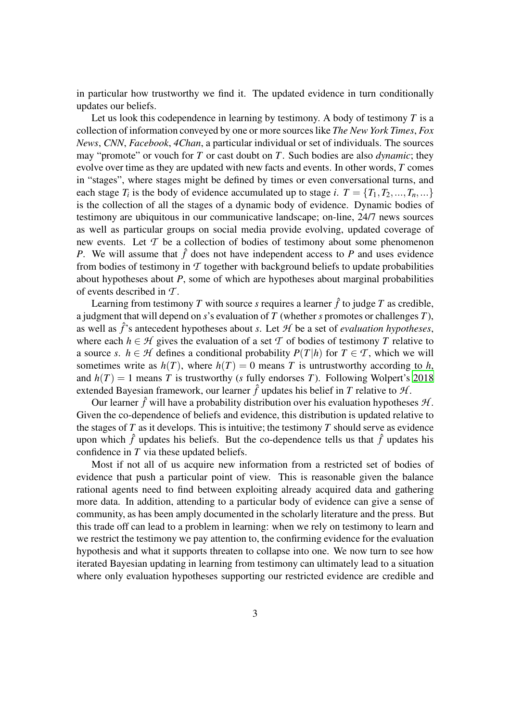in particular how trustworthy we find it. The updated evidence in turn conditionally updates our beliefs.

Let us look this codependence in learning by testimony. A body of testimony *T* is a collection of information conveyed by one or more sources like *The New York Times*, *Fox News*, *CNN*, *Facebook*, *4Chan*, a particular individual or set of individuals. The sources may "promote" or vouch for *T* or cast doubt on *T*. Such bodies are also *dynamic*; they evolve over time as they are updated with new facts and events. In other words, *T* comes in "stages", where stages might be defined by times or even conversational turns, and each stage  $T_i$  is the body of evidence accumulated up to stage *i*.  $T = \{T_1, T_2, ..., T_n, ...\}$ is the collection of all the stages of a dynamic body of evidence. Dynamic bodies of testimony are ubiquitous in our communicative landscape; on-line, 24/7 news sources as well as particular groups on social media provide evolving, updated coverage of new events. Let *T* be a collection of bodies of testimony about some phenomenon *P*. We will assume that  $\hat{f}$  does not have independent access to *P* and uses evidence from bodies of testimony in  $\mathcal T$  together with background beliefs to update probabilities about hypotheses about *P*, some of which are hypotheses about marginal probabilities of events described in *T* .

Learning from testimony *T* with source *s* requires a learner  $\hat{f}$  to judge *T* as credible, a judgment that will depend on *s*'s evaluation of *T* (whether *s* promotes or challenges *T*), as well as  $\hat{f}$ 's antecedent hypotheses about *s*. Let  $H$  be a set of *evaluation hypotheses*, where each  $h \in \mathcal{H}$  gives the evaluation of a set  $\mathcal T$  of bodies of testimony  $T$  relative to a source *s*. *h*  $\in$  *H* defines a conditional probability *P*(*T*|*h*) for *T*  $\in$  *T*, which we will sometimes write as  $h(T)$ , where  $h(T) = 0$  means *T* is untrustworthy according to *h*, and  $h(T) = 1$  means *T* is trustworthy (*s* fully endorses *T*). Following Wolpert's [2018](#page-18-0) extended Bayesian framework, our learner  $\hat{f}$  updates his belief in *T* relative to  $H$ .

Our learner  $\hat{f}$  will have a probability distribution over his evaluation hypotheses  $H$ . Given the co-dependence of beliefs and evidence, this distribution is updated relative to the stages of *T* as it develops. This is intuitive; the testimony *T* should serve as evidence upon which  $\hat{f}$  updates his beliefs. But the co-dependence tells us that  $\hat{f}$  updates his confidence in *T* via these updated beliefs.

Most if not all of us acquire new information from a restricted set of bodies of evidence that push a particular point of view. This is reasonable given the balance rational agents need to find between exploiting already acquired data and gathering more data. In addition, attending to a particular body of evidence can give a sense of community, as has been amply documented in the scholarly literature and the press. But this trade off can lead to a problem in learning: when we rely on testimony to learn and we restrict the testimony we pay attention to, the confirming evidence for the evaluation hypothesis and what it supports threaten to collapse into one. We now turn to see how iterated Bayesian updating in learning from testimony can ultimately lead to a situation where only evaluation hypotheses supporting our restricted evidence are credible and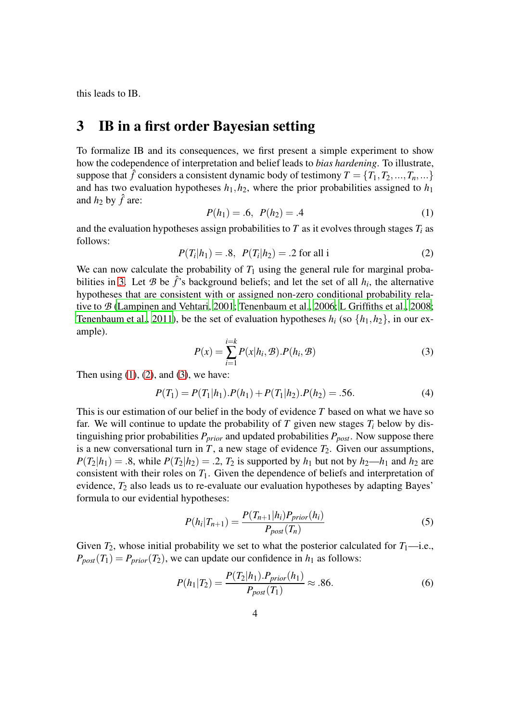<span id="page-3-0"></span>this leads to IB.

#### 3 IB in a first order Bayesian setting

To formalize IB and its consequences, we first present a simple experiment to show how the codependence of interpretation and belief leads to *bias hardening*. To illustrate, suppose that  $\hat{f}$  considers a consistent dynamic body of testimony  $T = \{T_1, T_2, ..., T_n, ...\}$ and has two evaluation hypotheses  $h_1, h_2$ , where the prior probabilities assigned to  $h_1$ and  $h_2$  by  $\hat{f}$  are:

<span id="page-3-2"></span>
$$
P(h_1) = .6, \ P(h_2) = .4 \tag{1}
$$

and the evaluation hypotheses assign probabilities to  $T$  as it evolves through stages  $T_i$  as follows:

<span id="page-3-3"></span>
$$
P(T_i|h_1) = .8, \ P(T_i|h_2) = .2 \text{ for all } i \tag{2}
$$

We can now calculate the probability of  $T_1$  using the general rule for marginal proba-bilities in [3.](#page-3-1) Let  $\mathcal{B}$  be  $\hat{f}$ 's background beliefs; and let the set of all  $h_i$ , the alternative hypotheses that are consistent with or assigned non-zero conditional probability relative to *B* [\(Lampinen and Vehtari](#page-17-1), [2001;](#page-17-1) [Tenenbaum et al., 2006](#page-18-1); [L Griffiths et al.](#page-17-2), [2008;](#page-17-2) [Tenenbaum et al.](#page-18-2), [2011](#page-18-2)), be the set of evaluation hypotheses  $h_i$  (so  $\{h_1, h_2\}$ , in our example).

<span id="page-3-1"></span>
$$
P(x) = \sum_{i=1}^{i=k} P(x|h_i, \mathcal{B}). P(h_i, \mathcal{B})
$$
\n(3)

Then using  $(1)$ ,  $(2)$ , and  $(3)$ , we have:

$$
P(T_1) = P(T_1|h_1) \cdot P(h_1) + P(T_1|h_2) \cdot P(h_2) = .56. \tag{4}
$$

This is our estimation of our belief in the body of evidence *T* based on what we have so far. We will continue to update the probability of  $T$  given new stages  $T_i$  below by distinguishing prior probabilities *Pprior* and updated probabilities *Ppost*. Now suppose there is a new conversational turn in  $T$ , a new stage of evidence  $T_2$ . Given our assumptions,  $P(T_2|h_1) = .8$ , while  $P(T_2|h_2) = .2$ ,  $T_2$  is supported by  $h_1$  but not by  $h_2 - h_1$  and  $h_2$  are consistent with their roles on  $T_1$ . Given the dependence of beliefs and interpretation of evidence, *T*<sup>2</sup> also leads us to re-evaluate our evaluation hypotheses by adapting Bayes' formula to our evidential hypotheses:

$$
P(h_i|T_{n+1}) = \frac{P(T_{n+1}|h_i)P_{prior}(h_i)}{P_{post}(T_n)}
$$
(5)

Given  $T_2$ , whose initial probability we set to what the posterior calculated for  $T_1$ —i.e.,  $P_{post}(T_1) = P_{prior}(T_2)$ , we can update our confidence in  $h_1$  as follows:

$$
P(h_1|T_2) = \frac{P(T_2|h_1) \cdot P_{prior}(h_1)}{P_{post}(T_1)} \approx .86.
$$
 (6)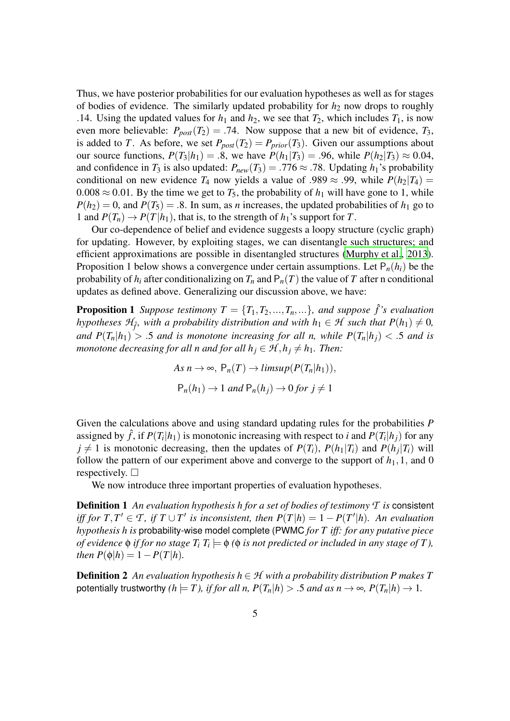Thus, we have posterior probabilities for our evaluation hypotheses as well as for stages of bodies of evidence. The similarly updated probability for  $h_2$  now drops to roughly .14. Using the updated values for  $h_1$  and  $h_2$ , we see that  $T_2$ , which includes  $T_1$ , is now even more believable:  $P_{post}(T_2) = .74$ . Now suppose that a new bit of evidence,  $T_3$ , is added to *T*. As before, we set  $P_{post}(T_2) = P_{prior}(T_3)$ . Given our assumptions about our source functions,  $P(T_3|h_1) = .8$ , we have  $P(h_1|T_3) = .96$ , while  $P(h_2|T_3) \approx 0.04$ , and confidence in  $T_3$  is also updated:  $P_{new}(T_3) = .776 \approx .78$ . Updating  $h_1$ 's probability conditional on new evidence  $T_4$  now yields a value of .989  $\approx$  .99, while  $P(h_2|T_4)$  =  $0.008 \approx 0.01$ . By the time we get to  $T_5$ , the probability of  $h_1$  will have gone to 1, while  $P(h_2) = 0$ , and  $P(T_5) = .8$ . In sum, as *n* increases, the updated probabilities of  $h_1$  go to 1 and  $P(T_n) \to P(T|h_1)$ , that is, to the strength of  $h_1$ 's support for *T*.

Our co-dependence of belief and evidence suggests a loopy structure (cyclic graph) for updating. However, by exploiting stages, we can disentangle such structures; and efficient approximations are possible in disentangled structures [\(Murphy et al.](#page-17-3), [2013\)](#page-17-3). Proposition 1 below shows a convergence under certain assumptions. Let  $P_n(h_i)$  be the probability of  $h_i$  after conditionalizing on  $T_n$  and  $P_n(T)$  the value of  $T$  after n conditional updates as defined above. Generalizing our discussion above, we have:

**Proposition 1** *Suppose testimony*  $T = \{T_1, T_2, ..., T_n, ...\}$ *, and suppose*  $\hat{f}$ *'s evaluation hypotheses*  $\mathcal{H}_{\hat{f}}$ *, with a probability distribution and with*  $h_1 \in \mathcal{H}$  *such that*  $P(h_1) \neq 0$ *, and*  $P(T_n|h_1) > .5$  *and is monotone increasing for all n, while*  $P(T_n|h_i) < .5$  *and is monotone decreasing for all n and for all*  $h_i \in \mathcal{H}, h_i \neq h_1$ *. Then:* 

> <span id="page-4-0"></span> $As n \rightarrow \infty$ ,  $P_n(T) \rightarrow limsup(P(T_n|h_1)),$  $P_n(h_1) \rightarrow 1$  *and*  $P_n(h_i) \rightarrow 0$  *for*  $j \neq 1$

Given the calculations above and using standard updating rules for the probabilities *P* assigned by  $\hat{f}$ , if  $P(T_i|h_1)$  is monotonic increasing with respect to *i* and  $P(T_i|h_j)$  for any  $j \neq 1$  is monotonic decreasing, then the updates of  $P(T_i)$ ,  $P(h_1|T_i)$  and  $P(h_j|T_i)$  will follow the pattern of our experiment above and converge to the support of  $h_1$ , 1, and 0 respectively.  $\Box$ 

We now introduce three important properties of evaluation hypotheses.

Definition 1 *An evaluation hypothesis h for a set of bodies of testimony T is* consistent *iff for*  $T, T' \in T$ , *if*  $T \cup T'$  *is inconsistent, then*  $P(T|h) = 1 - P(T'|h)$ *. An evaluation hypothesis h is* probability-wise model complete (PWMC *for T iff: for any putative piece of evidence*  $\phi$  *if for no stage*  $T_i$  $T_i \models \phi$  *(* $\phi$  *is not predicted or included in any stage of T), then*  $P(\phi|h) = 1 - P(T|h)$ .

**Definition 2** An evaluation hypothesis  $h \in \mathcal{H}$  with a probability distribution P makes T potentially trustworthy  $(h \models T)$ , if for all n,  $P(T_n|h) > .5$  and as  $n \to \infty$ ,  $P(T_n|h) \to 1$ .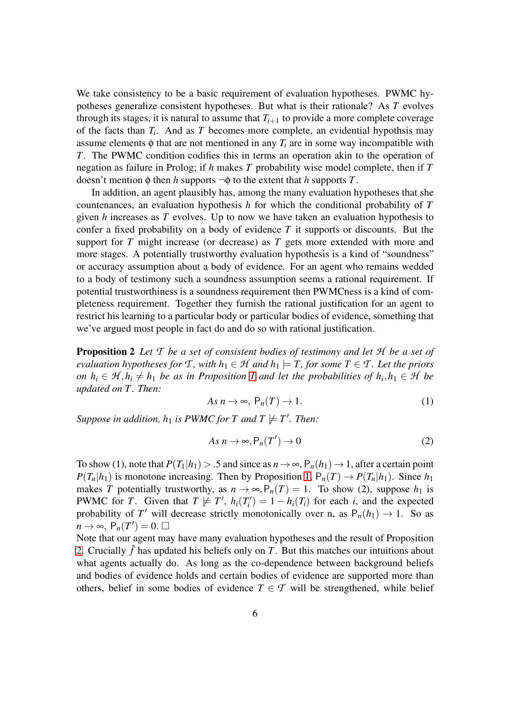We take consistency to be a basic requirement of evaluation hypotheses. PWMC hypotheses generalize consistent hypotheses. But what is their rationale? As *T* evolves through its stages, it is natural to assume that  $T_{i+1}$  to provide a more complete coverage of the facts than *T<sup>i</sup>* . And as *T* becomes more complete, an evidential hypothsis may assume elements  $\phi$  that are not mentioned in any  $T_i$  are in some way incompatible with *T*. The PWMC condition codifies this in terms an operation akin to the operation of negation as failure in Prolog; if *h* makes *T* probability wise model complete, then if *T* doesn't mention φ then *h* supports ¬φ to the extent that *h* supports *T*.

In addition, an agent plausibly has, among the many evaluation hypotheses that she countenances, an evaluation hypothesis *h* for which the conditional probability of *T* given *h* increases as *T* evolves. Up to now we have taken an evaluation hypothesis to confer a fixed probability on a body of evidence *T* it supports or discounts. But the support for *T* might increase (or decrease) as *T* gets more extended with more and more stages. A potentially trustworthy evaluation hypothesis is a kind of "soundness" or accuracy assumption about a body of evidence. For an agent who remains wedded to a body of testimony such a soundness assumption seems a rational requirement. If potential trustworthiness is a soundness requirement then PWMCness is a kind of completeness requirement. Together they furnish the rational justification for an agent to restrict his learning to a particular body or particular bodies of evidence, something that we've argued most people in fact do and do so with rational justification.

<span id="page-5-0"></span>Proposition 2 *Let T be a set of consistent bodies of testimony and let H be a set of evaluation hypotheses for*  $\mathcal{T}$ *, with*  $h_1 \in \mathcal{H}$  *and*  $h_1 \models T$ *, for some*  $T \in \mathcal{T}$ *. Let the priors on*  $h_i \in \mathcal{H}, h_i \neq h_1$  *be as in Proposition 1 and let the probabilities of*  $h_i, h_1 \in \mathcal{H}$  *be updated on T . Then:*

$$
As n \to \infty, P_n(T) \to 1. \tag{1}
$$

*Suppose in addition,*  $h_1$  *is PWMC for T and*  $T \not\models T'$ *. Then:* 

$$
As n \to \infty, P_n(T') \to 0 \tag{2}
$$

To show (1), note that  $P(T_1|h_1) > .5$  and since as  $n \to \infty$ ,  $P_n(h_1) \to 1$ , after a certain point  $P(T_n|h_1)$  is monotone increasing. Then by Proposition [1,](#page-4-0)  $P_n(T) \to P(T_n|h_1)$ . Since  $h_1$ makes *T* potentially trustworthy, as  $n \to \infty$ ,  $P_n(T) = 1$ . To show (2), suppose  $h_1$  is PWMC for *T*. Given that  $T \not\models T'$ ,  $h_i(T_i') = 1 - h_i(T_i)$  for each *i*, and the expected probability of T' will decrease strictly monotonically over n, as  $P_n(h_1) \to 1$ . So as  $n \to \infty$ ,  $P_n(T') = 0$ .  $\Box$ 

Note that our agent may have many evaluation hypotheses and the result of Proposition [2.](#page-5-0) Crucially  $\hat{f}$  has updated his beliefs only on T. But this matches our intuitions about what agents actually do. As long as the co-dependence between background beliefs and bodies of evidence holds and certain bodies of evidence are supported more than others, belief in some bodies of evidence  $T \in \mathcal{T}$  will be strengthened, while belief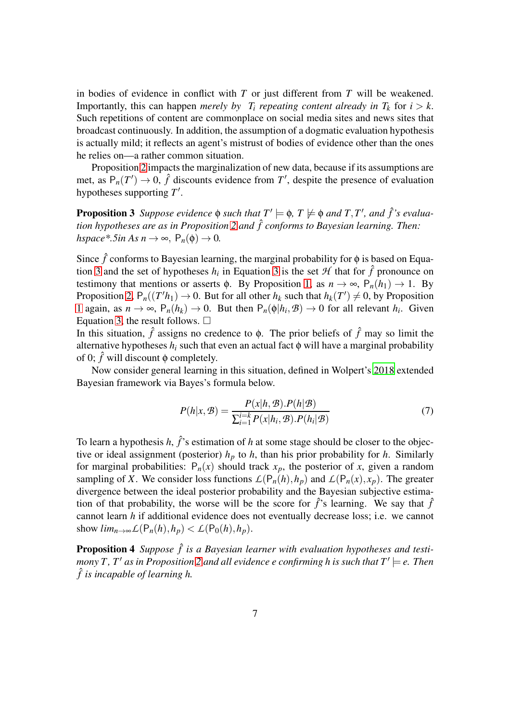in bodies of evidence in conflict with *T* or just different from *T* will be weakened. Importantly, this can happen *merely by*  $T_i$  *repeating content already in*  $T_k$  for  $i > k$ . Such repetitions of content are commonplace on social media sites and news sites that broadcast continuously. In addition, the assumption of a dogmatic evaluation hypothesis is actually mild; it reflects an agent's mistrust of bodies of evidence other than the ones he relies on—a rather common situation.

Proposition [2](#page-5-0) impacts the marginalization of new data, because if its assumptions are met, as  $P_n(T') \to 0$ ,  $\hat{f}$  discounts evidence from  $T'$ , despite the presence of evaluation hypotheses supporting *T* ′ .

<span id="page-6-0"></span>**Proposition 3** Suppose evidence  $\phi$  such that  $T' \models \phi$ ,  $T \not\models \phi$  and  $T, T'$ , and  $\hat{f}$ 's evalua*tion hypotheses are as in Proposition [2](#page-5-0) and* ˆ*f conforms to Bayesian learning. Then:*  $hspace^*$ *.5in As n*  $\rightarrow \infty$ ,  $P_n(\phi) \rightarrow 0$ *.* 

Since  $\hat{f}$  conforms to Bayesian learning, the marginal probability for  $\phi$  is based on Equa-tion [3](#page-3-1) and the set of hypotheses  $h_i$  in Equation 3 is the set  $H$  that for  $\hat{f}$  pronounce on testimony that mentions or asserts  $\phi$ . By Proposition [1,](#page-4-0) as  $n \to \infty$ ,  $P_n(h_1) \to 1$ . By Proposition [2,](#page-5-0)  $P_n((T'h_1) \to 0$ . But for all other  $h_k$  such that  $h_k(T') \neq 0$ , by Proposition [1](#page-4-0) again, as  $n \to \infty$ ,  $P_n(h_k) \to 0$ . But then  $P_n(\phi|h_i, \mathcal{B}) \to 0$  for all relevant  $h_i$ . Given Equation [3,](#page-3-1) the result follows.  $\Box$ 

In this situation,  $\hat{f}$  assigns no credence to  $\phi$ . The prior beliefs of  $\hat{f}$  may so limit the alternative hypotheses  $h_i$  such that even an actual fact  $\phi$  will have a marginal probability of 0;  $\hat{f}$  will discount  $\phi$  completely.

Now consider general learning in this situation, defined in Wolpert's [2018](#page-18-0) extended Bayesian framework via Bayes's formula below.

<span id="page-6-1"></span>
$$
P(h|x, \mathcal{B}) = \frac{P(x|h, \mathcal{B}).P(h|\mathcal{B})}{\sum_{i=1}^{i=k} P(x|h_i, \mathcal{B}).P(h_i|\mathcal{B})}
$$
(7)

To learn a hypothesis  $h$ ,  $\hat{f}$ 's estimation of  $h$  at some stage should be closer to the objective or ideal assignment (posterior)  $h_p$  to  $h$ , than his prior probability for  $h$ . Similarly for marginal probabilities:  $P_n(x)$  should track  $x_p$ , the posterior of x, given a random sampling of *X*. We consider loss functions  $L(P_n(h), h_p)$  and  $L(P_n(x), x_p)$ . The greater divergence between the ideal posterior probability and the Bayesian subjective estimation of that probability, the worse will be the score for  $\hat{f}$ 's learning. We say that  $\hat{f}$ cannot learn *h* if additional evidence does not eventually decrease loss; i.e. we cannot show  $\lim_{n\to\infty} L(P_n(h), h_p) < L(P_0(h), h_p)$ .

**Proposition 4** Suppose  $\hat{f}$  is a Bayesian learner with evaluation hypotheses and testi*mony T* ,  $T'$  *as in Proposition* [2](#page-5-0) *and all evidence e confirming h is such that*  $T' \models$   $e$  . Then ˆ*f is incapable of learning h.*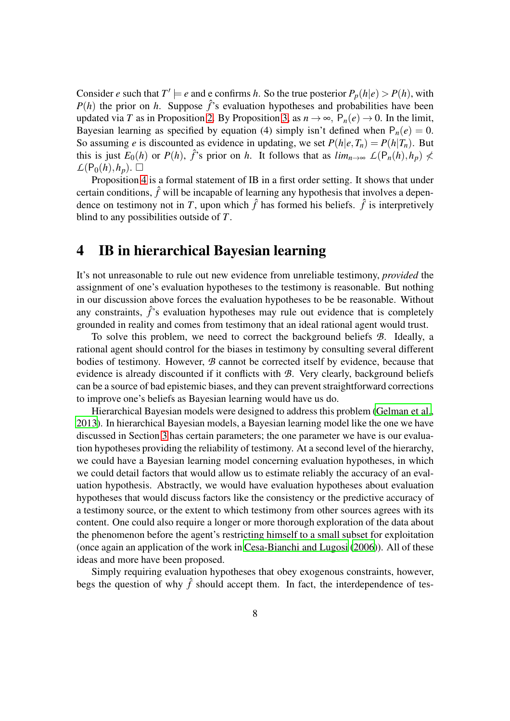Consider *e* such that  $T' \models e$  and  $e$  confirms *h*. So the true posterior  $P_p(h|e) > P(h)$ , with  $P(h)$  the prior on *h*. Suppose  $\hat{f}$ 's evaluation hypotheses and probabilities have been updated via *T* as in Proposition [2.](#page-5-0) By Proposition [3,](#page-6-0) as  $n \to \infty$ ,  $P_n(e) \to 0$ . In the limit, Bayesian learning as specified by equation (4) simply isn't defined when  $P_n(e) = 0$ . So assuming *e* is discounted as evidence in updating, we set  $P(h|e, T_n) = P(h|T_n)$ . But this is just  $E_0(h)$  or  $P(h)$ ,  $\hat{f}$ 's prior on *h*. It follows that as  $\lim_{n\to\infty} L(P_n(h), h_p) \nless$  $\mathcal{L}(\mathsf{P}_0(h), h_p)$ .  $\Box$ 

Proposition [4](#page-6-1) is a formal statement of IB in a first order setting. It shows that under certain conditions,  $\hat{f}$  will be incapable of learning any hypothesis that involves a dependence on testimony not in *T*, upon which  $\hat{f}$  has formed his beliefs.  $\hat{f}$  is interpretively blind to any possibilities outside of *T*.

### <span id="page-7-0"></span>4 IB in hierarchical Bayesian learning

It's not unreasonable to rule out new evidence from unreliable testimony, *provided* the assignment of one's evaluation hypotheses to the testimony is reasonable. But nothing in our discussion above forces the evaluation hypotheses to be be reasonable. Without any constraints,  $\hat{f}$ 's evaluation hypotheses may rule out evidence that is completely grounded in reality and comes from testimony that an ideal rational agent would trust.

To solve this problem, we need to correct the background beliefs *B*. Ideally, a rational agent should control for the biases in testimony by consulting several different bodies of testimony. However, *B* cannot be corrected itself by evidence, because that evidence is already discounted if it conflicts with *B*. Very clearly, background beliefs can be a source of bad epistemic biases, and they can prevent straightforward corrections to improve one's beliefs as Bayesian learning would have us do.

Hierarchical Bayesian models were designed to address this problem [\(Gelman et al.](#page-17-0), [2013](#page-17-0)). In hierarchical Bayesian models, a Bayesian learning model like the one we have discussed in Section [3](#page-3-0) has certain parameters; the one parameter we have is our evaluation hypotheses providing the reliability of testimony. At a second level of the hierarchy, we could have a Bayesian learning model concerning evaluation hypotheses, in which we could detail factors that would allow us to estimate reliably the accuracy of an evaluation hypothesis. Abstractly, we would have evaluation hypotheses about evaluation hypotheses that would discuss factors like the consistency or the predictive accuracy of a testimony source, or the extent to which testimony from other sources agrees with its content. One could also require a longer or more thorough exploration of the data about the phenomenon before the agent's restricting himself to a small subset for exploitation (once again an application of the work in [Cesa-Bianchi and Lugosi](#page-17-4) [\(2006\)](#page-17-4)). All of these ideas and more have been proposed.

Simply requiring evaluation hypotheses that obey exogenous constraints, however, begs the question of why  $\hat{f}$  should accept them. In fact, the interdependence of tes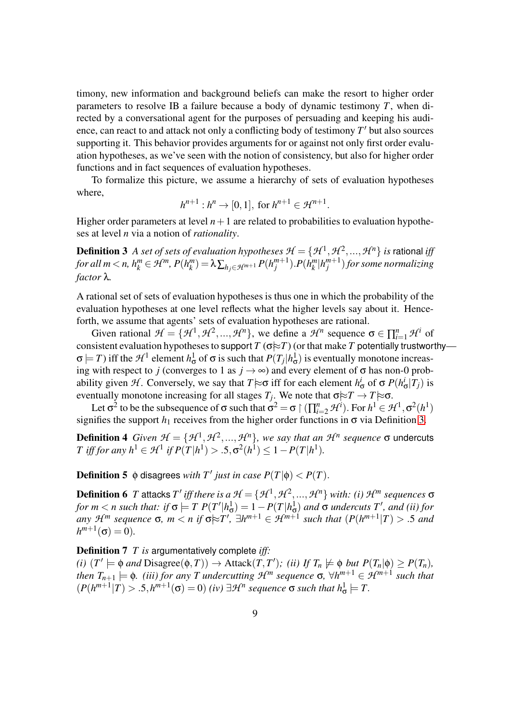timony, new information and background beliefs can make the resort to higher order parameters to resolve IB a failure because a body of dynamic testimony *T*, when directed by a conversational agent for the purposes of persuading and keeping his audience, can react to and attack not only a conflicting body of testimony *T* ′ but also sources supporting it. This behavior provides arguments for or against not only first order evaluation hypotheses, as we've seen with the notion of consistency, but also for higher order functions and in fact sequences of evaluation hypotheses.

To formalize this picture, we assume a hierarchy of sets of evaluation hypotheses where,

<span id="page-8-0"></span>
$$
h^{n+1}: h^n \to [0,1],
$$
 for  $h^{n+1} \in \mathcal{H}^{n+1}.$ 

Higher order parameters at level  $n+1$  are related to probabilities to evaluation hypotheses at level *n* via a notion of *rationality*.

 $\bf{Definition 3}$   $A$  *set of sets of evaluation hypotheses*  $\mathcal{H} = \{\mathcal{H}^1, \mathcal{H}^2, ..., \mathcal{H}^n\}$  *is rational iff for all*  $m < n$ ,  $h_k^m \in \mathcal{H}^m$ ,  $P(h_k^m)$  $\lambda_k^{m}) = \lambda \sum_{h_j \in \mathcal{H}^{m+1}} P(h_j^{m+1})$  $\binom{m+1}{j}$ . $P(h_k^m)$  $\binom{m}{k}$  $h_j^{m+1}$ *j* ) *for some normalizing factor* λ*.*

A rational set of sets of evaluation hypotheses is thus one in which the probability of the evaluation hypotheses at one level reflects what the higher levels say about it. Henceforth, we assume that agents' sets of evaluation hypotheses are rational.

Given rational  $\mathcal{H} = {\mathcal{H}^1, \mathcal{H}^2, ..., \mathcal{H}^n}$ , we define a  $\mathcal{H}^n$  sequence  $\sigma \in \prod_{i=1}^n \mathcal{H}^i$  of consistent evaluation hypotheses to support *T* ( $\sigma \approx T$ ) (or that make *T* potentially trustworthy—  $\sigma$   $\models$  *T*) iff the  $\mathcal{H}^1$  element  $h^1_\sigma$  of  $\sigma$  is such that  $P(T_j | h^1_\sigma)$  is eventually monotone increasing with respect to *j* (converges to 1 as  $j \rightarrow \infty$ ) and every element of  $\sigma$  has non-0 probability given *H*. Conversely, we say that  $T \approx \sigma$  iff for each element  $h^i_{\sigma}$  of  $\sigma P(h^i_{\sigma}|T_j)$  is eventually monotone increasing for all stages  $T_j$ . We note that  $\sigma \approx T \to T \approx \sigma$ .

Let  $\sigma^2$  to be the subsequence of  $\sigma$  such that  $\sigma^2 = \sigma \upharpoonright (\prod_{i=2}^n \mathcal{H}^i)$ . For  $h^1 \in \mathcal{H}^1, \sigma^2(h^1)$ signifies the support  $h_1$  receives from the higher order functions in  $\sigma$  via Definition [3.](#page-8-0)

**Definition 4** Given  $\mathcal{H} = \{ \mathcal{H}^1, \mathcal{H}^2, ..., \mathcal{H}^n \}$ , we say that an  $\mathcal{H}^n$  sequence  $\sigma$  undercuts *T iff for any*  $h^1 \in H^1$  *if*  $P(T|h^1) > .5, \sigma^2(h^1) \le 1 - P(T|h^1)$ .

**Definition 5**  $\phi$  disagrees *with*  $T'$  *just in case*  $P(T|\phi) < P(T)$ .

 $\bf{Definition 6}$   $\it{T}$  attacks  $T'$  *iff there is a*  $\mathcal{H} = \{\mathcal{H}^1, \mathcal{H}^2, ..., \mathcal{H}^n\}$  *with: (i)*  $\mathcal{H}^m$  *sequences*  $\bm{\sigma}$ *for m*  $<$  *n* such that: if  $\sigma$   $\models T P(T'|h_{\sigma}^1) = 1 - P(T|h_{\sigma}^1)$  and  $\sigma$  undercuts  $T'$ , and (ii) for  $any$   $\mathcal{H}^m$  sequence  $\sigma$ ,  $m < n$  if  $\sigma \approx T'$ ,  $\exists h^{m+1} \in \mathcal{H}^{m+1}$  such that  $(P(h^{m+1}|T) > .5$  and  $h^{m+1}(\sigma) = 0$ ).

Definition 7 *T is* argumentatively complete *iff:*

<span id="page-8-1"></span> $(i)$   $(T' \models \phi \text{ and } \text{Disagree}(\phi, T)) \rightarrow \text{Attack}(T, T')$ ;  $(ii)$  If  $T_n \not\models \phi \text{ but } P(T_n|\phi) \ge P(T_n)$ , *then*  $T_{n+1} \models \phi$ *. (iii) for any T undercutting*  $\mathcal{H}^m$  *sequence*  $\sigma$ *,*  $\forall h^{m+1} \in \mathcal{H}^{m+1}$  *such that*  $(P(h^{m+1}|T) > .5, h^{m+1}(\sigma) = 0)$  *(iv)*  $\exists \mathcal{H}^n$  sequence  $\sigma$  such that  $h^1_{\sigma} \models T$ .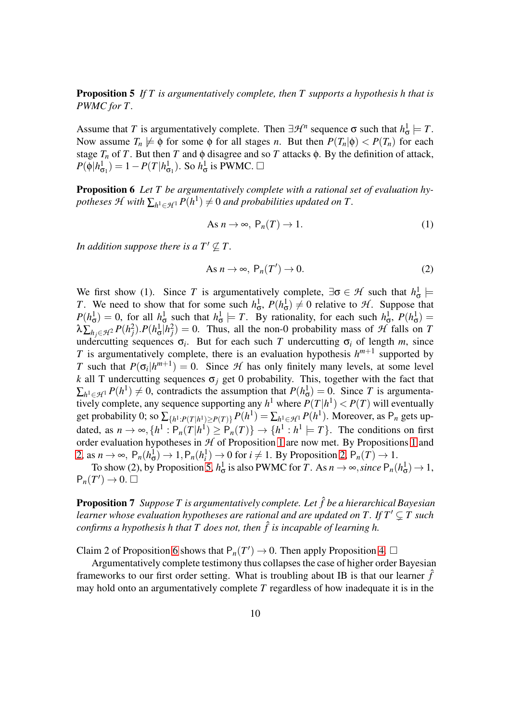Proposition 5 *If T is argumentatively complete, then T supports a hypothesis h that is PWMC for T .*

Assume that *T* is argumentatively complete. Then  $\exists \mathcal{H}^n$  sequence  $\sigma$  such that  $h^1_{\sigma} \models T$ . Now assume  $T_n \not\models \phi$  for some  $\phi$  for all stages *n*. But then  $P(T_n|\phi) < P(T_n)$  for each stage  $T_n$  of  $T$ . But then  $T$  and  $\phi$  disagree and so  $T$  attacks  $\phi$ . By the definition of attack,  $P(\phi | h_{\sigma_1}^1) = 1 - P(T | h_{\sigma_1}^1)$ . So  $h_{\sigma}^1$  is PWMC.  $\Box$ 

<span id="page-9-0"></span>Proposition 6 *Let T be argumentatively complete with a rational set of evaluation hy-* $\textit{potheses } \mathcal{H} \textit{ with } \sum_{h^1 \in \mathcal{H}^1} P(h^1) \neq 0 \textit{ and probabilities updated on T.}$ 

$$
\text{As } n \to \infty, \ P_n(T) \to 1. \tag{1}
$$

*In addition suppose there is a*  $T' \nsubseteq T$ *.* 

$$
\text{As } n \to \infty, \ P_n(T') \to 0. \tag{2}
$$

We first show (1). Since *T* is argumentatively complete,  $\exists \sigma \in \mathcal{H}$  such that  $h^1_{\sigma} \models$ *T*. We need to show that for some such  $h^1_{\sigma}$ ,  $P(h^1_{\sigma}) \neq 0$  relative to *H*. Suppose that  $P(h_{\sigma}^1) = 0$ , for all  $h_{\sigma}^1$  such that  $h_{\sigma}^1 \models T$ . By rationality, for each such  $h_{\sigma}^1$ ,  $P(h_{\sigma}^1) =$  $\lambda \sum_{h_j \in \mathcal{H}^2} P(h_j^2) P(h_{\sigma}^1 | h_j^2) = 0$ . Thus, all the non-0 probability mass of *H* falls on *T* undercutting sequences  $\sigma_i$ . But for each such *T* undercutting  $\sigma_i$  of length *m*, since *T* is argumentatively complete, there is an evaluation hypothesis  $h^{m+1}$  supported by *T* such that  $P(\sigma_i | h^{m+1}) = 0$ . Since *H* has only finitely many levels, at some level *k* all T undercutting sequences  $\sigma_i$  get 0 probability. This, together with the fact that  $\sum_{h^1 \in \mathcal{H}^1} P(h^1) \neq 0$ , contradicts the assumption that  $P(h^1_{\sigma}) = 0$ . Since *T* is argumentatively complete, any sequence supporting any  $h^1$  where  $P(T|h^1) < P(T)$  will eventually get probability 0; so  $\sum_{\{h^1: P(T|h^1)\geq P(T)\}} P(h^1) = \sum_{h^1 \in \mathcal{H}^1} P(h^1)$ . Moreover, as  $P_n$  gets updated, as  $n \to \infty$ ,  $\{h^1 : \mathsf{P}_n(T|h^1) \ge \mathsf{P}_n(T)\} \to \{h^1 : h^1 \models T\}$ . The conditions on first order evaluation hypotheses in *H* of Proposition [1](#page-4-0) are now met. By Propositions [1](#page-4-0) and [2,](#page-5-0) as  $n \to \infty$ ,  $P_n(h_{\sigma}^1) \to 1$ ,  $P_n(h_i^1) \to 0$  for  $i \neq 1$ . By Proposition [2,](#page-5-0)  $P_n(T) \to 1$ .

<span id="page-9-1"></span>To show (2), by Proposition [5,](#page-8-1)  $h^1_\sigma$  is also PWMC for *T*. As  $n \to \infty$ , since  $P_n(h^1_\sigma) \to 1$ ,  $P_n(T') \to 0.$ 

Proposition 7 *Suppose T is argumentatively complete. Let* ˆ*f be a hierarchical Bayesian learner whose evaluation hypotheses are rational and are updated on T. If T'*  $\subseteq$  T such *confirms a hypothesis h that T does not, then*  $\hat{f}$  *is incapable of learning h.* 

Claim 2 of Proposition [6](#page-9-0) shows that  $P_n(T') \to 0$ . Then apply Proposition [4.](#page-6-1)  $\Box$ 

Argumentatively complete testimony thus collapses the case of higher order Bayesian frameworks to our first order setting. What is troubling about IB is that our learner  $\hat{f}$ may hold onto an argumentatively complete *T* regardless of how inadequate it is in the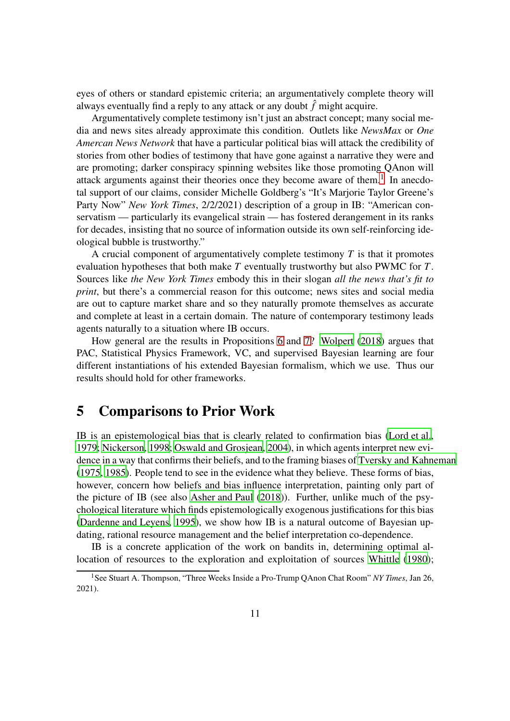eyes of others or standard epistemic criteria; an argumentatively complete theory will always eventually find a reply to any attack or any doubt  $\hat{f}$  might acquire.

Argumentatively complete testimony isn't just an abstract concept; many social media and news sites already approximate this condition. Outlets like *NewsMax* or *One Amercan News Network* that have a particular political bias will attack the credibility of stories from other bodies of testimony that have gone against a narrative they were and are promoting; darker conspiracy spinning websites like those promoting QAnon will attack arguments against their theories once they become aware of them.<sup>[1](#page-10-0)</sup> In anecdotal support of our claims, consider Michelle Goldberg's "It's Marjorie Taylor Greene's Party Now" *New York Times*, 2/2/2021) description of a group in IB: "American conservatism — particularly its evangelical strain — has fostered derangement in its ranks for decades, insisting that no source of information outside its own self-reinforcing ideological bubble is trustworthy."

A crucial component of argumentatively complete testimony *T* is that it promotes evaluation hypotheses that both make *T* eventually trustworthy but also PWMC for *T*. Sources like *the New York Times* embody this in their slogan *all the news that's fit to print*, but there's a commercial reason for this outcome; news sites and social media are out to capture market share and so they naturally promote themselves as accurate and complete at least in a certain domain. The nature of contemporary testimony leads agents naturally to a situation where IB occurs.

How general are the results in Propositions [6](#page-9-0) and [7?](#page-9-1) [Wolpert](#page-18-0) [\(2018\)](#page-18-0) argues that PAC, Statistical Physics Framework, VC, and supervised Bayesian learning are four different instantiations of his extended Bayesian formalism, which we use. Thus our results should hold for other frameworks.

#### 5 Comparisons to Prior Work

IB is an epistemological bias that is clearly related to confirmation bias [\(Lord et al.](#page-17-5), [1979](#page-17-5); [Nickerson](#page-18-3), [1998;](#page-18-3) [Oswald and Grosjean](#page-18-4), [2004\)](#page-18-4), in which agents interpret new evidence in a way that confirms their beliefs, and to the framing biases of [Tversky and Kahneman](#page-18-5) [\(1975](#page-18-5), [1985\)](#page-18-6). People tend to see in the evidence what they believe. These forms of bias, however, concern how beliefs and bias influence interpretation, painting only part of the picture of IB (see also [Asher and Paul \(2018](#page-16-0))). Further, unlike much of the psychological literature which finds epistemologically exogenous justifications for this bias [\(Dardenne and Leyens](#page-17-6), [1995](#page-17-6)), we show how IB is a natural outcome of Bayesian updating, rational resource management and the belief interpretation co-dependence.

IB is a concrete application of the work on bandits in, determining optimal allocation of resources to the exploration and exploitation of sources [Whittle](#page-18-7) [\(1980\)](#page-18-7);

<span id="page-10-0"></span><sup>&</sup>lt;sup>1</sup>See Stuart A. Thompson, "Three Weeks Inside a Pro-Trump QAnon Chat Room" *NY Times*, Jan 26, 2021).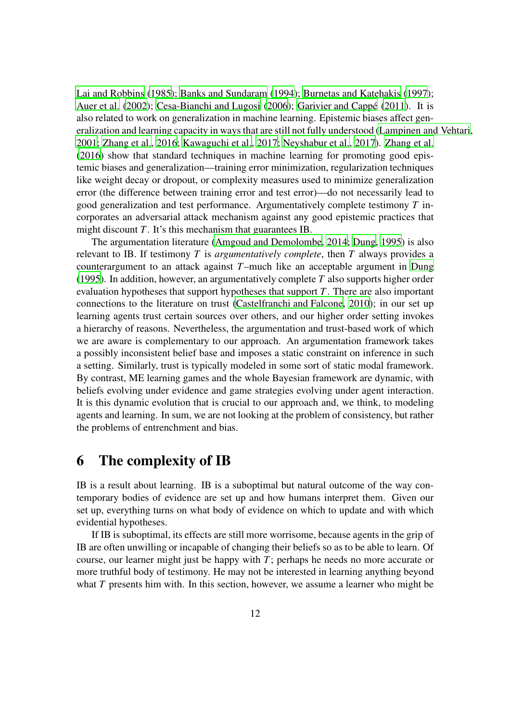[Lai and Robbins](#page-17-7) [\(1985\)](#page-17-7); [Banks and Sundaram \(1994](#page-16-1)); Burnetas [and Katehakis](#page-17-8) [\(1997\)](#page-17-8); [Auer et al. \(2002](#page-16-2)); [Cesa-Bianchi and Lugosi](#page-17-4) [\(2006\)](#page-17-4); Garivier and Cappé [\(2011\)](#page-17-9). It is also related to work on generalization in machine learning. Epistemic biases affect generalization and learning capacity in ways that are still not fully understood [\(Lampinen and Vehtari,](#page-17-1) [2001](#page-17-1); [Zhang et al., 2016;](#page-18-8) [Kawaguchi et al., 2017;](#page-17-10) [Neyshabur et al., 2017\)](#page-18-9). [Zhang et al.](#page-18-8) [\(2016](#page-18-8)) show that standard techniques in machine learning for promoting good epistemic biases and generalization—training error minimization, regularization techniques like weight decay or dropout, or complexity measures used to minimize generalization error (the difference between training error and test error)—do not necessarily lead to good generalization and test performance. Argumentatively complete testimony *T* incorporates an adversarial attack mechanism against any good epistemic practices that might discount *T*. It's this mechanism that guarantees IB.

The argumentation literature [\(Amgoud and Demolombe](#page-16-3), [2014](#page-16-3); [Dung](#page-17-11), [1995](#page-17-11)) is also relevant to IB. If testimony *T* is *argumentatively complete*, then *T* always provides a counterargument to an attack against *T*–much like an acceptable argument in [Dung](#page-17-11) [\(1995](#page-17-11)). In addition, however, an argumentatively complete *T* also supports higher order evaluation hypotheses that support hypotheses that support *T*. There are also important connections to the literature on trust [\(Castelfranchi and Falcone](#page-17-12), [2010](#page-17-12)); in our set up learning agents trust certain sources over others, and our higher order setting invokes a hierarchy of reasons. Nevertheless, the argumentation and trust-based work of which we are aware is complementary to our approach. An argumentation framework takes a possibly inconsistent belief base and imposes a static constraint on inference in such a setting. Similarly, trust is typically modeled in some sort of static modal framework. By contrast, ME learning games and the whole Bayesian framework are dynamic, with beliefs evolving under evidence and game strategies evolving under agent interaction. It is this dynamic evolution that is crucial to our approach and, we think, to modeling agents and learning. In sum, we are not looking at the problem of consistency, but rather the problems of entrenchment and bias.

### <span id="page-11-0"></span>6 The complexity of IB

IB is a result about learning. IB is a suboptimal but natural outcome of the way contemporary bodies of evidence are set up and how humans interpret them. Given our set up, everything turns on what body of evidence on which to update and with which evidential hypotheses.

If IB is suboptimal, its effects are still more worrisome, because agents in the grip of IB are often unwilling or incapable of changing their beliefs so as to be able to learn. Of course, our learner might just be happy with *T*; perhaps he needs no more accurate or more truthful body of testimony. He may not be interested in learning anything beyond what *T* presents him with. In this section, however, we assume a learner who might be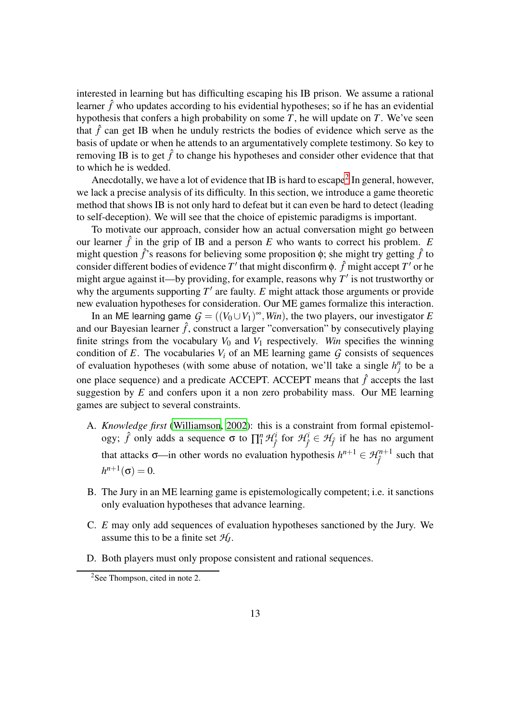interested in learning but has difficulting escaping his IB prison. We assume a rational learner  $\hat{f}$  who updates according to his evidential hypotheses; so if he has an evidential hypothesis that confers a high probability on some *T*, he will update on *T*. We've seen that  $\hat{f}$  can get IB when he unduly restricts the bodies of evidence which serve as the basis of update or when he attends to an argumentatively complete testimony. So key to removing IB is to get  $\hat{f}$  to change his hypotheses and consider other evidence that that to which he is wedded.

Anecdotally, we have a lot of evidence that IB is hard to escape<sup>[2](#page-12-0)</sup> In general, however, we lack a precise analysis of its difficulty. In this section, we introduce a game theoretic method that shows IB is not only hard to defeat but it can even be hard to detect (leading to self-deception). We will see that the choice of epistemic paradigms is important.

To motivate our approach, consider how an actual conversation might go between our learner  $\hat{f}$  in the grip of IB and a person  $E$  who wants to correct his problem.  $E$ might question  $\hat{f}$ 's reasons for believing some proposition  $\phi$ ; she might try getting  $\hat{f}$  to consider different bodies of evidence  $T'$  that might disconfirm  $\phi$ .  $\hat{f}$  might accept  $T'$  or he might argue against it—by providing, for example, reasons why *T* ′ is not trustworthy or why the arguments supporting  $T'$  are faulty.  $E$  might attack those arguments or provide new evaluation hypotheses for consideration. Our ME games formalize this interaction.

In an ME learning game  $\mathcal{G} = ((V_0 \cup V_1)^\infty, Win)$ , the two players, our investigator  $E$ and our Bayesian learner  $\hat{f}$ , construct a larger "conversation" by consecutively playing finite strings from the vocabulary  $V_0$  and  $V_1$  respectively. Win specifies the winning condition of  $E$ . The vocabularies  $V_i$  of an ME learning game  $G$  consists of sequences of evaluation hypotheses (with some abuse of notation, we'll take a single  $h_j^n$  to be a one place sequence) and a predicate ACCEPT. ACCEPT means that  $\hat{f}$  accepts the last suggestion by *E* and confers upon it a non zero probability mass. Our ME learning games are subject to several constraints.

- A. *Knowledge first* [\(Williamson, 2002](#page-18-10)): this is a constraint from formal epistemology;  $\hat{f}$  only adds a sequence  $\sigma$  to  $\prod_{i=1}^{n} \mathcal{H}_{\hat{f}}^{i}$  for  $\mathcal{H}_{\hat{f}}^{i} \in \mathcal{H}_{\hat{f}}$  if he has no argument that attacks  $\sigma$ —in other words no evaluation hypothesis  $h^{n+1} \in \mathcal{H}^{n+1}_{\hat{e}}$  $\hat{f}^{n+1}$  such that  $h^{n+1}(\sigma) = 0.$
- B. The Jury in an ME learning game is epistemologically competent; i.e. it sanctions only evaluation hypotheses that advance learning.
- C. *E* may only add sequences of evaluation hypotheses sanctioned by the Jury. We assume this to be a finite set  $H_I$ .
- D. Both players must only propose consistent and rational sequences.

<span id="page-12-0"></span><sup>&</sup>lt;sup>2</sup>See Thompson, cited in note 2.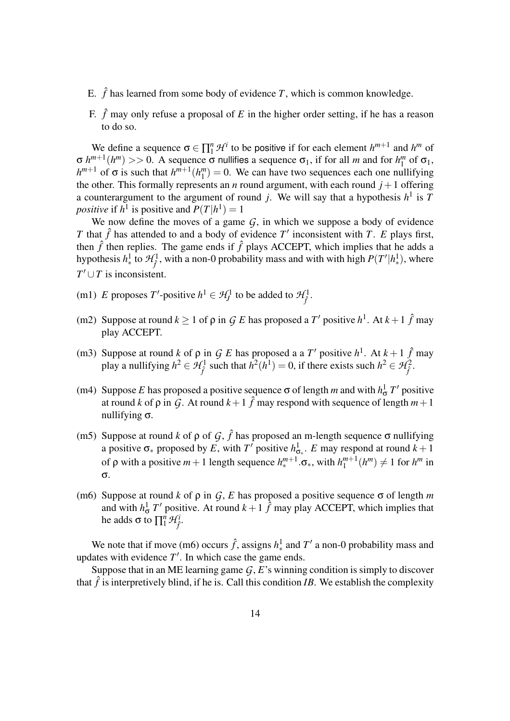- E.  $\hat{f}$  has learned from some body of evidence *T*, which is common knowledge.
- F.  $\hat{f}$  may only refuse a proposal of E in the higher order setting, if he has a reason to do so.

We define a sequence  $\sigma \in \prod_{i=1}^{n} \mathcal{H}^{i}$  to be positive if for each element  $h^{m+1}$  and  $h^{m}$  of σ  $h^{m+1}(h^m)$  >> 0. A sequence σ nullifies a sequence σ<sub>1</sub>, if for all *m* and for  $h_1^m$  $\frac{m}{1}$  of  $\sigma_1$ ,  $h^{m+1}$  of  $\sigma$  is such that  $h^{m+1}(h_1^m)$  $\binom{m}{1} = 0$ . We can have two sequences each one nullifying the other. This formally represents an *n* round argument, with each round  $j+1$  offering a counterargument to the argument of round *j*. We will say that a hypothesis *h* 1 is *T positive* if  $h^1$  is positive and  $P(T|h^1) = 1$ 

We now define the moves of a game  $G$ , in which we suppose a body of evidence *T* that  $\hat{f}$  has attended to and a body of evidence  $T'$  inconsistent with *T*. *E* plays first, then  $\hat{f}$  then replies. The game ends if  $\hat{f}$  plays ACCEPT, which implies that he adds a hypothesis  $h^1_*$  to  $\mathcal{H}^1_f$ , with a non-0 probability mass and with with high  $P(T'|h^1_*)$ , where  $T' \cup T$  is inconsistent.

- (m1) *E* proposes *T*'-positive  $h^1 \in H_J^1$  to be added to  $H_f^1$ .
- (m2) Suppose at round  $k \ge 1$  of  $\rho$  in  $G$  *E* has proposed a  $T'$  positive  $h^1$ . At  $k+1$   $\hat{f}$  may play ACCEPT.
- (m3) Suppose at round *k* of  $\rho$  in  $\mathcal{G} E$  has proposed a a  $T'$  positive  $h^1$ . At  $k+1$   $\hat{f}$  may play a nullifying  $h^2 \in \mathcal{H}_{\hat{f}}^1$  such that  $h^2(h^1) = 0$ , if there exists such  $h^2 \in \mathcal{H}_{\hat{f}}^2$ .
- (m4) Suppose *E* has proposed a positive sequence  $\sigma$  of length *m* and with  $h^1_{\sigma}T'$  positive at round *k* of  $\rho$  in *G*. At round  $k+1$   $\hat{f}$  may respond with sequence of length  $m+1$ nullifying  $\sigma$ .
- (m5) Suppose at round *k* of  $ρ$  of  $G$ ,  $\hat{f}$  has proposed an m-length sequence  $σ$  nullifying a positive  $\sigma_*$  proposed by *E*, with *T'* positive  $h_{\sigma_*}^1$ . *E* may respond at round  $k+1$ of  $\rho$  with a positive  $m+1$  length sequence  $h_*^{m+1} \cdot \sigma_*$ , with  $h_1^{m+1}$  $n^{m+1}(h^m) \neq 1$  for  $h^m$  in σ.
- (m6) Suppose at round *k* of  $\rho$  in  $G$ , *E* has proposed a positive sequence  $\sigma$  of length *m* and with  $h^1_{\sigma}$  *T'* positive. At round  $k+1$   $\hat{f}$  may play ACCEPT, which implies that he adds  $\sigma$  to  $\prod_{i=1}^{n} \mathcal{H}_{\hat{f}}^{i}$ .

We note that if move (m6) occurs  $\hat{f}$ , assigns  $h^1$  and  $T'$  a non-0 probability mass and updates with evidence  $T'$ . In which case the game ends.

Suppose that in an ME learning game *G*, *E*'s winning condition is simply to discover that  $\hat{f}$  is interpretively blind, if he is. Call this condition *IB*. We establish the complexity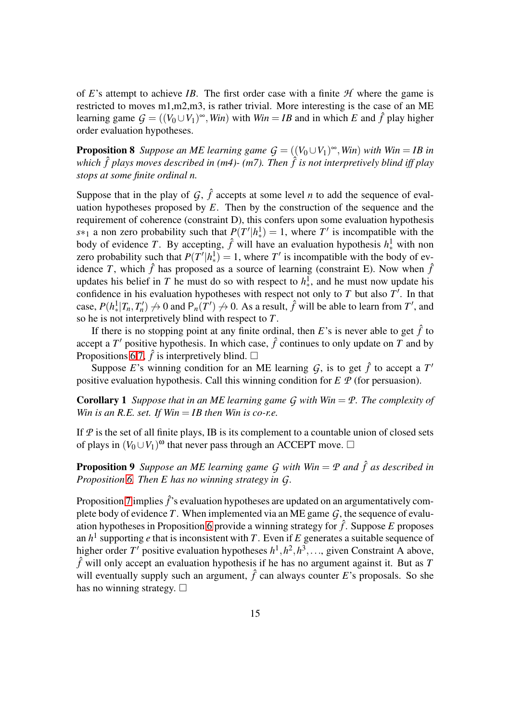of *E*'s attempt to achieve *IB*. The first order case with a finite  $H$  where the game is restricted to moves m1,m2,m3, is rather trivial. More interesting is the case of an ME learning game  $G = ((V_0 \cup V_1)^\infty, Win)$  with  $Win = IB$  and in which  $E$  and  $\hat{f}$  play higher order evaluation hypotheses.

**Proposition 8** Suppose an ME learning game  $G = ((V_0 \cup V_1)^\infty, W$ in) with Win = IB in *which*  $\hat{f}$  plays moves described in (m4)- (m7). Then  $\hat{f}$  is not interpretively blind iff play *stops at some finite ordinal n.*

Suppose that in the play of  $G$ ,  $\hat{f}$  accepts at some level *n* to add the sequence of evaluation hypotheses proposed by *E*. Then by the construction of the sequence and the requirement of coherence (constraint D), this confers upon some evaluation hypothesis  $s*_1$  a non zero probability such that  $P(T'|h^1_*)=1$ , where T' is incompatible with the body of evidence *T*. By accepting,  $\hat{f}$  will have an evaluation hypothesis  $h^1_*$  with non zero probability such that  $P(T'|h^1_*)=1$ , where  $T'$  is incompatible with the body of evidence *T*, which  $\hat{f}$  has proposed as a source of learning (constraint E). Now when  $\hat{f}$ updates his belief in *T* he must do so with respect to  $h^1$ , and he must now update his confidence in his evaluation hypotheses with respect not only to *T* but also *T* ′ . In that case,  $P(h^1_*|T_n, T'_n) \nrightarrow 0$  and  $P_n(T') \nrightarrow 0$ . As a result,  $\hat{f}$  will be able to learn from  $T'$ , and so he is not interpretively blind with respect to *T*.

If there is no stopping point at any finite ordinal, then *E*'s is never able to get  $\hat{f}$  to accept a  $T'$  positive hypothesis. In which case,  $\hat{f}$  continues to only update on  $T$  and by Propositions [6](#page-9-0) [7,](#page-9-1)  $\hat{f}$  is interpretively blind.  $\Box$ 

<span id="page-14-0"></span>Suppose *E*'s winning condition for an ME learning  $G$ , is to get  $\hat{f}$  to accept a  $T'$ positive evaluation hypothesis. Call this winning condition for *E P* (for persuasion).

Corollary 1 *Suppose that in an ME learning game G with Win* = *P. The complexity of Win is an R.E. set. If Win* = *IB then Win is co-r.e.* 

<span id="page-14-1"></span>If  $P$  is the set of all finite plays, IB is its complement to a countable union of closed sets of plays in  $(V_0 \cup V_1)$ <sup>{\in that never pass through an ACCEPT move.  $\Box$ </sup>

**Proposition 9** *Suppose an ME learning game G with Win*  $= P$  *and*  $\hat{f}$  *as described in Proposition [6.](#page-9-0) Then E has no winning strategy in G.*

Proposition [7](#page-9-1) implies  $\hat{f}$ 's evaluation hypotheses are updated on an argumentatively complete body of evidence  $T$ . When implemented via an ME game  $G$ , the sequence of evalu-ation hypotheses in Proposition [6](#page-9-0) provide a winning strategy for  $\hat{f}$ . Suppose *E* proposes an *h* 1 supporting *e* that is inconsistent with *T*. Even if *E* generates a suitable sequence of higher order  $T'$  positive evaluation hypotheses  $h^1, h^2, h^3, \ldots$ , given Constraint A above,  $\hat{f}$  will only accept an evaluation hypothesis if he has no argument against it. But as  $T$ will eventually supply such an argument,  $\hat{f}$  can always counter *E*'s proposals. So she has no winning strategy.  $\square$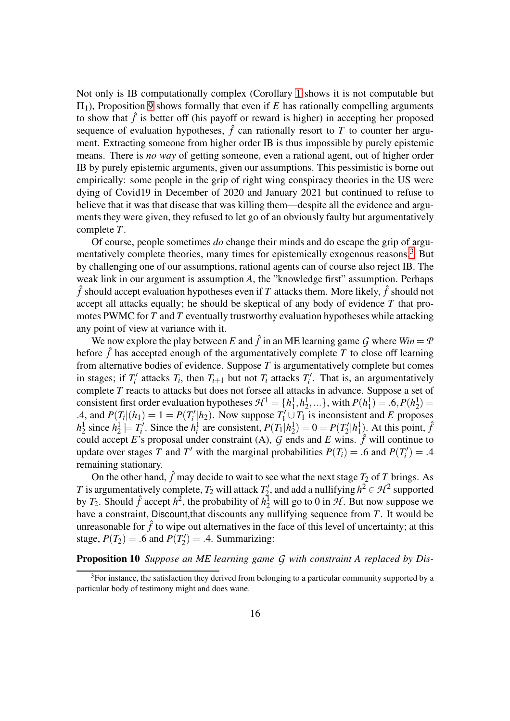Not only is IB computationally complex (Corollary [1](#page-14-0) shows it is not computable but  $\Pi_1$ ), Proposition [9](#page-14-1) shows formally that even if *E* has rationally compelling arguments to show that  $\hat{f}$  is better off (his payoff or reward is higher) in accepting her proposed sequence of evaluation hypotheses,  $\hat{f}$  can rationally resort to T to counter her argument. Extracting someone from higher order IB is thus impossible by purely epistemic means. There is *no way* of getting someone, even a rational agent, out of higher order IB by purely epistemic arguments, given our assumptions. This pessimistic is borne out empirically: some people in the grip of right wing conspiracy theories in the US were dying of Covid19 in December of 2020 and January 2021 but continued to refuse to believe that it was that disease that was killing them—despite all the evidence and arguments they were given, they refused to let go of an obviously faulty but argumentatively complete *T*.

Of course, people sometimes *do* change their minds and do escape the grip of argu-mentatively complete theories, many times for epistemically exogenous reasons.<sup>[3](#page-15-0)</sup> But by challenging one of our assumptions, rational agents can of course also reject IB. The weak link in our argument is assumption *A*, the "knowledge first" assumption. Perhaps  $\hat{f}$  should accept evaluation hypotheses even if *T* attacks them. More likely,  $\hat{f}$  should not accept all attacks equally; he should be skeptical of any body of evidence *T* that promotes PWMC for *T* and *T* eventually trustworthy evaluation hypotheses while attacking any point of view at variance with it.

We now explore the play between *E* and  $\hat{f}$  in an ME learning game *G* where *Win* = *P* before  $\hat{f}$  has accepted enough of the argumentatively complete T to close off learning from alternative bodies of evidence. Suppose *T* is argumentatively complete but comes in stages; if  $T_i'$  attacks  $T_i$ , then  $T_{i+1}$  but not  $T_i$  attacks  $T_i'$ . That is, an argumentatively complete *T* reacts to attacks but does not forsee all attacks in advance. Suppose a set of consistent first order evaluation hypotheses  $\mathcal{H}^1 = \{h_1^1, h_2^1, ...\}$ , with  $P(h_1^1) = .6, P(h_2^1) =$ .4, and  $P(T_i|(h_1) = 1 = P(T_i'|h_2)$ . Now suppose  $T_1' \cup T_1$  is inconsistent and *E* proposes  $h_2^1$  since  $h_2^1 \models T'_i$ . Since the  $h_i^1$  are consistent,  $P(T_1|h_2^1) = 0 = P(T'_2|h_1^1)$ . At this point,  $\hat{f}$ could accept *E*'s proposal under constraint (A),  $G$  ends and *E* wins.  $\hat{f}$  will continue to update over stages *T* and *T'* with the marginal probabilities  $P(T_i) = .6$  and  $P(T'_i) = .4$ remaining stationary.

On the other hand,  $\hat{f}$  may decide to wait to see what the next stage  $T_2$  of T brings. As *T* is argumentatively complete, *T*<sub>2</sub> will attack *T*<sub>2</sub><sup>*'*</sup>, and add a nullifying  $h^2 \in H^2$  supported by  $T_2$ . Should  $\hat{f}$  accept  $h^2$ , the probability of  $h_2^{\bar{1}}$  will go to 0 in  $H$ . But now suppose we have a constraint, Discount,that discounts any nullifying sequence from *T*. It would be unreasonable for  $\hat{f}$  to wipe out alternatives in the face of this level of uncertainty; at this stage,  $P(T_2) = .6$  and  $P(T_2') = .4$ . Summarizing:

#### Proposition 10 *Suppose an ME learning game G with constraint A replaced by Dis-*

<span id="page-15-0"></span> $3$ For instance, the satisfaction they derived from belonging to a particular community supported by a particular body of testimony might and does wane.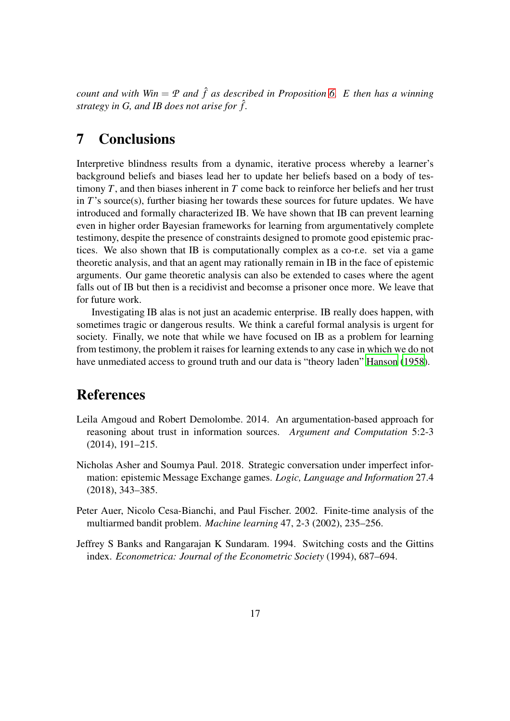*count and with Win*  $= \mathcal{P}$  *and*  $\hat{f}$  *as described in Proposition [6.](#page-9-0) E then has a winning strategy in G, and IB does not arise for*  $\hat{f}$ *.* 

#### 7 Conclusions

Interpretive blindness results from a dynamic, iterative process whereby a learner's background beliefs and biases lead her to update her beliefs based on a body of testimony *T*, and then biases inherent in *T* come back to reinforce her beliefs and her trust in *T*'s source(s), further biasing her towards these sources for future updates. We have introduced and formally characterized IB. We have shown that IB can prevent learning even in higher order Bayesian frameworks for learning from argumentatively complete testimony, despite the presence of constraints designed to promote good epistemic practices. We also shown that IB is computationally complex as a co-r.e. set via a game theoretic analysis, and that an agent may rationally remain in IB in the face of epistemic arguments. Our game theoretic analysis can also be extended to cases where the agent falls out of IB but then is a recidivist and becomse a prisoner once more. We leave that for future work.

Investigating IB alas is not just an academic enterprise. IB really does happen, with sometimes tragic or dangerous results. We think a careful formal analysis is urgent for society. Finally, we note that while we have focused on IB as a problem for learning from testimony, the problem it raises for learning extends to any case in which we do not have unmediated access to ground truth and our data is "theory laden" [Hanson \(1958\)](#page-17-13).

### References

- <span id="page-16-3"></span>Leila Amgoud and Robert Demolombe. 2014. An argumentation-based approach for reasoning about trust in information sources. *Argument and Computation* 5:2-3 (2014), 191–215.
- <span id="page-16-0"></span>Nicholas Asher and Soumya Paul. 2018. Strategic conversation under imperfect information: epistemic Message Exchange games. *Logic, Language and Information* 27.4 (2018), 343–385.
- <span id="page-16-2"></span>Peter Auer, Nicolo Cesa-Bianchi, and Paul Fischer. 2002. Finite-time analysis of the multiarmed bandit problem. *Machine learning* 47, 2-3 (2002), 235–256.
- <span id="page-16-1"></span>Jeffrey S Banks and Rangarajan K Sundaram. 1994. Switching costs and the Gittins index. *Econometrica: Journal of the Econometric Society* (1994), 687–694.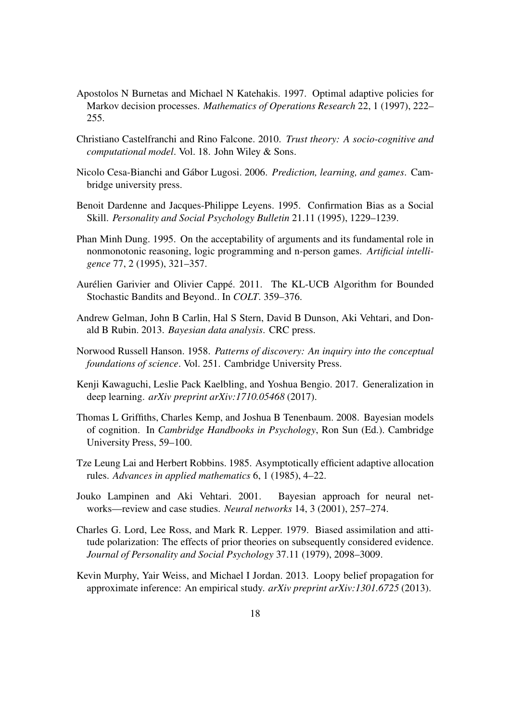- <span id="page-17-8"></span>Apostolos N Burnetas and Michael N Katehakis. 1997. Optimal adaptive policies for Markov decision processes. *Mathematics of Operations Research* 22, 1 (1997), 222– 255.
- <span id="page-17-12"></span>Christiano Castelfranchi and Rino Falcone. 2010. *Trust theory: A socio-cognitive and computational model*. Vol. 18. John Wiley & Sons.
- <span id="page-17-4"></span>Nicolo Cesa-Bianchi and G´abor Lugosi. 2006. *Prediction, learning, and games*. Cambridge university press.
- <span id="page-17-6"></span>Benoit Dardenne and Jacques-Philippe Leyens. 1995. Confirmation Bias as a Social Skill. *Personality and Social Psychology Bulletin* 21.11 (1995), 1229–1239.
- <span id="page-17-11"></span>Phan Minh Dung. 1995. On the acceptability of arguments and its fundamental role in nonmonotonic reasoning, logic programming and n-person games. *Artificial intelligence* 77, 2 (1995), 321–357.
- <span id="page-17-9"></span>Aurélien Garivier and Olivier Cappé. 2011. The KL-UCB Algorithm for Bounded Stochastic Bandits and Beyond.. In *COLT*. 359–376.
- <span id="page-17-0"></span>Andrew Gelman, John B Carlin, Hal S Stern, David B Dunson, Aki Vehtari, and Donald B Rubin. 2013. *Bayesian data analysis*. CRC press.
- <span id="page-17-13"></span>Norwood Russell Hanson. 1958. *Patterns of discovery: An inquiry into the conceptual foundations of science*. Vol. 251. Cambridge University Press.
- <span id="page-17-10"></span>Kenji Kawaguchi, Leslie Pack Kaelbling, and Yoshua Bengio. 2017. Generalization in deep learning. *arXiv preprint arXiv:1710.05468* (2017).
- <span id="page-17-2"></span>Thomas L Griffiths, Charles Kemp, and Joshua B Tenenbaum. 2008. Bayesian models of cognition. In *Cambridge Handbooks in Psychology*, Ron Sun (Ed.). Cambridge University Press, 59–100.
- <span id="page-17-7"></span>Tze Leung Lai and Herbert Robbins. 1985. Asymptotically efficient adaptive allocation rules. *Advances in applied mathematics* 6, 1 (1985), 4–22.
- <span id="page-17-1"></span>Jouko Lampinen and Aki Vehtari. 2001. Bayesian approach for neural networks—review and case studies. *Neural networks* 14, 3 (2001), 257–274.
- <span id="page-17-5"></span>Charles G. Lord, Lee Ross, and Mark R. Lepper. 1979. Biased assimilation and attitude polarization: The effects of prior theories on subsequently considered evidence. *Journal of Personality and Social Psychology* 37.11 (1979), 2098–3009.
- <span id="page-17-3"></span>Kevin Murphy, Yair Weiss, and Michael I Jordan. 2013. Loopy belief propagation for approximate inference: An empirical study. *arXiv preprint arXiv:1301.6725* (2013).